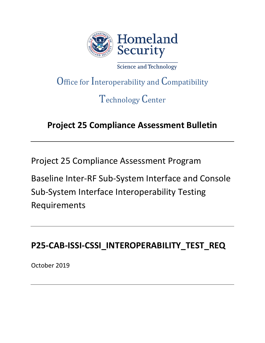

Science and Technology

# Office for Interoperability and Compatibility

# Technology Center

## **Project 25 Compliance Assessment Bulletin**

Project 25 Compliance Assessment Program

Baseline Inter-RF Sub-System Interface and Console Sub-System Interface Interoperability Testing Requirements

## **P25-CAB-ISSI-CSSI\_INTEROPERABILITY\_TEST\_REQ**

October 2019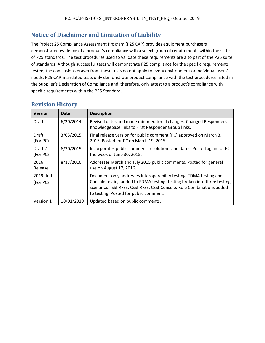## **Notice of Disclaimer and Limitation of Liability**

The Project 25 Compliance Assessment Program (P25 CAP) provides equipment purchasers demonstrated evidence of a product's compliance with a select group of requirements within the suite of P25 standards. The test procedures used to validate these requirements are also part of the P25 suite of standards. Although successful tests will demonstrate P25 compliance for the specific requirements tested, the conclusions drawn from these tests do not apply to every environment or individual users' needs. P25 CAP-mandated tests only demonstrate product compliance with the test procedures listed in the Supplier's Declaration of Compliance and, therefore, only attest to a product's compliance with specific requirements within the P25 Standard.

| <b>Version</b>         | Date       | <b>Description</b>                                                                                                                                                                                                                                                 |
|------------------------|------------|--------------------------------------------------------------------------------------------------------------------------------------------------------------------------------------------------------------------------------------------------------------------|
| Draft                  | 6/20/2014  | Revised dates and made minor editorial changes. Changed Responders<br>Knowledgebase links to First Responder Group links.                                                                                                                                          |
| Draft<br>(For PC)      | 3/03/2015  | Final release version for public comment (PC) approved on March 3,<br>2015. Posted for PC on March 19, 2015.                                                                                                                                                       |
| Draft 2<br>(For PC)    | 6/30/2015  | Incorporates public comment-resolution candidates. Posted again for PC<br>the week of June 30, 2015.                                                                                                                                                               |
| 2016<br>Release        | 8/17/2016  | Addresses March and July 2015 public comments. Posted for general<br>use on August 17, 2016.                                                                                                                                                                       |
| 2019 draft<br>(For PC) |            | Document only addresses Interoperability testing; TDMA testing and<br>Console testing added to FDMA testing; testing broken into three testing<br>scenarios: ISSI-RFSS, CSSI-RFSS, CSSI-Console. Role Combinations added<br>to testing. Posted for public comment. |
| Version 1              | 10/01/2019 | Updated based on public comments.                                                                                                                                                                                                                                  |

## **Revision History**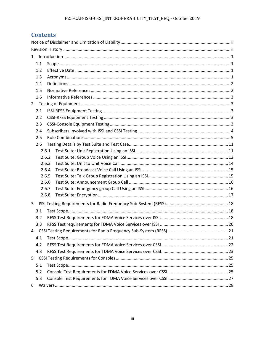## **Contents**

| $\mathbf{1}$ |       |  |
|--------------|-------|--|
| 1.1          |       |  |
| 1.2          |       |  |
| 1.3          |       |  |
| 1.4          |       |  |
| 1.5          |       |  |
| 1.6          |       |  |
| $2^{\circ}$  |       |  |
| 2.1          |       |  |
| 2.2          |       |  |
| 2.3          |       |  |
| 2.4          |       |  |
| 2.5          |       |  |
| 2.6          |       |  |
|              | 2.6.1 |  |
|              | 2.6.2 |  |
|              | 2.6.3 |  |
|              | 2.6.4 |  |
|              | 2.6.5 |  |
|              | 2.6.6 |  |
|              | 2.6.7 |  |
|              | 2.6.8 |  |
| 3            |       |  |
| 3.1          |       |  |
| 3.2          |       |  |
| 3.3          |       |  |
|              |       |  |
| 4.1          |       |  |
| 4.2          |       |  |
| 4.3          |       |  |
| $5 -$        |       |  |
| 5.1          |       |  |
| 5.2          |       |  |
| 5.3          |       |  |
| 6            |       |  |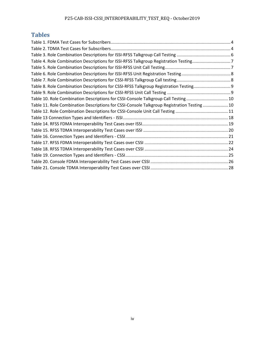## **Tables**

| Table 4. Role Combination Descriptions for ISSI-RFSS Talkgroup Registration Testing7       |  |
|--------------------------------------------------------------------------------------------|--|
|                                                                                            |  |
|                                                                                            |  |
|                                                                                            |  |
| Table 8. Role Combination Descriptions for CSSI-RFSS Talkgroup Registration Testing9       |  |
|                                                                                            |  |
| Table 10. Role Combination Descriptions for CSSI-Console Talkgroup Call Testing10          |  |
| Table 11. Role Combination Descriptions for CSSI-Console Talkgroup Registration Testing 10 |  |
|                                                                                            |  |
|                                                                                            |  |
|                                                                                            |  |
|                                                                                            |  |
|                                                                                            |  |
|                                                                                            |  |
|                                                                                            |  |
|                                                                                            |  |
|                                                                                            |  |
|                                                                                            |  |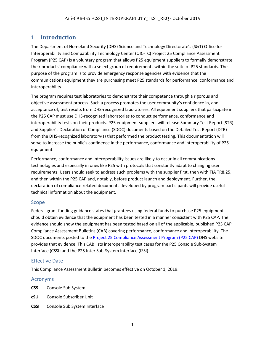## **1 Introduction**

The Department of Homeland Security (DHS) Science and Technology Directorate's (S&T) Office for Interoperability and Compatibility Technology Center (OIC-TC) Project 25 Compliance Assessment Program (P25 CAP) is a voluntary program that allows P25 equipment suppliers to formally demonstrate their products' compliance with a select group of requirements within the suite of P25 standards. The purpose of the program is to provide emergency response agencies with evidence that the communications equipment they are purchasing meet P25 standards for performance, conformance and interoperability.

The program requires test laboratories to demonstrate their competence through a rigorous and objective assessment process. Such a process promotes the user community's confidence in, and acceptance of, test results from DHS-recognized laboratories. All equipment suppliers that participate in the P25 CAP must use DHS-recognized laboratories to conduct performance, conformance and interoperability tests on their products. P25 equipment suppliers will release Summary Test Report (STR) and Supplier's Declaration of Compliance (SDOC) documents based on the Detailed Test Report (DTR) from the DHS-recognized laboratory(s) that performed the product testing. This documentation will serve to increase the public's confidence in the performance, conformance and interoperability of P25 equipment.

Performance, conformance and interoperability issues are likely to occur in all communications technologies and especially in ones like P25 with protocols that constantly adapt to changing user requirements. Users should seek to address such problems with the supplier first, then with TIA TR8.25, and then within the P25 CAP and, notably, before product launch and deployment. Further, the declaration of compliance-related documents developed by program participants will provide useful technical information about the equipment.

#### Scope

Federal grant funding guidance states that grantees using federal funds to purchase P25 equipment should obtain evidence that the equipment has been tested in a manner consistent with P25 CAP. The evidence should show the equipment has been tested based on all of the applicable, published P25 CAP Compliance Assessment Bulletins (CAB) covering performance, conformance and interoperability. The SDOC documents posted to th[e Project 25 Compliance Assessment Program \(P25 CAP\)](https://www.dhs.gov/science-and-technology/p25-cap) DHS website provides that evidence. This CAB lists interoperability test cases for the P25 Console Sub-System Interface (CSSI) and the P25 Inter Sub-System Interface (ISSI).

## Effective Date

This Compliance Assessment Bulletin becomes effective on October 1, 2019.

#### Acronyms

- **CSS** Console Sub System
- **cSU** Console Subscriber Unit
- **CSSI** Console Sub System Interface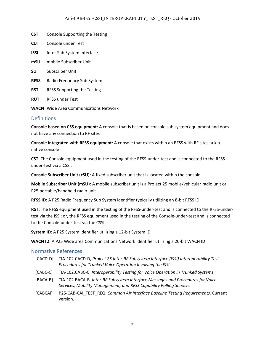#### P25-CAB-ISSI-CSSI\_INTEROPERABILITY\_TEST\_REQ - October 2019

- **CST** Console Supporting the Testing
- **CUT** Console under Test
- **ISSI** Inter Sub System Interface
- **mSU** mobile Subscriber Unit
- **SU** Subscriber Unit
- **RFSS** Radio Frequency Sub System
- **RST** RFSS Supporting the Testing
- **RUT** RFSS under Test
- **WACN** Wide Area Communications Network

#### **Definitions**

**Console based on CSS equipment**: A console that is based on console sub system equipment and does not have any connection to RF sites

**Console integrated with RFSS equipment**: A console that exists within an RFSS with RF sites; a.k.a. native console

**CST:** The Console equipment used in the testing of the RFSS-under-test and is connected to the RFSSunder-test via a CSSI.

**Console Subscriber Unit (cSU):** A fixed subscriber unit that is located within the console.

**Mobile Subscriber Unit (mSU)**: A mobile subscriber unit is a Project 25 mobile/vehicular radio unit or P25 portable/handheld radio unit.

**RFSS ID:** A P25 Radio Frequency Sub System identifier typically utilizing an 8-bit RFSS ID

**RST:** The RFSS equipment used in the testing of the RFSS-under-test and is connected to the RFSS-undertest via the ISSI; or, the RFSS equipment used in the testing of the Console-under-test and is connected to the Console-under-test via the CSSI.

**System ID**: A P25 System Identifier utilizing a 12-bit System ID

**WACN ID**: A P25 Wide area Communications Network Identifier utilizing a 20-bit WACN ID

#### Normative References

- [CACD-D] TIA-102.CACD-D, *Project 25 Inter-RF Subsystem Interface (ISSI) Interoperability Test Procedures for Trunked Voice Operation Involving the ISSI.*
- [CABC-C] TIA-102.CABC-C, *Interoperability Testing for Voice Operation in Trunked Systems*
- [BACA-B] TIA-102.BACA-B, *Inter-RF Subsystem Interface Messages and Procedures for Voice Services, Mobility Management, and RFSS Capability Polling Services*
- [CABCAI] P25-CAB-CAI\_TEST\_REQ, *Common Air Interface Baseline Testing Requirements.* Current version.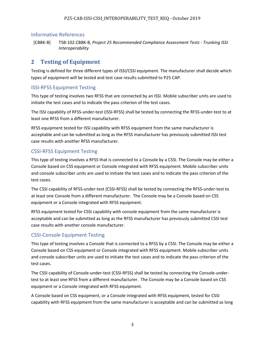#### Informative References

[CBBK-B] TSB-102.CBBK-B, *Project 25 Recommended Compliance Assessment Tests - Trunking ISSI Interoperability*

## **2 Testing of Equipment**

Testing is defined for three different types of ISSI/CSSI equipment. The manufacturer shall decide which types of equipment will be tested and test case results submitted to P25 CAP.

#### ISSI-RFSS Equipment Testing

This type of testing involves two RFSS that are connected by an ISSI. Mobile subscriber units are used to initiate the test cases and to indicate the pass criterion of the test cases.

The ISSI capability of RFSS-under-test (ISSI-RFSS) shall be tested by connecting the RFSS-under-test to at least one RFSS from a different manufacturer.

RFSS equipment tested for ISSI capability with RFSS equipment from the same manufacturer is acceptable and can be submitted as long as the RFSS manufacturer has previously submitted ISSI test case results with another RFSS manufacturer.

## CSSI-RFSS Equipment Testing

This type of testing involves a RFSS that is connected to a Console by a CSSI. The Console may be either a Console based on CSS equipment or Console integrated with RFSS equipment. Mobile subscriber units and console subscriber units are used to initiate the test cases and to indicate the pass criterion of the test cases.

The CSSI capability of RFSS-under-test (CSSI-RFSS) shall be tested by connecting the RFSS-under-test to at least one Console from a different manufacturer. The Console may be a Console based on CSS equipment or a Console integrated with RFSS equipment.

RFSS equipment tested for CSSI capability with console equipment from the same manufacturer is acceptable and can be submitted as long as the RFSS manufacturer has previously submitted CSSI test case results with another console manufacturer.

## CSSI-Console Equipment Testing

This type of testing involves a Console that is connected to a RFSS by a CSSI. The Console may be either a Console based on CSS equipment or Console integrated with RFSS equipment. Mobile subscriber units and console subscriber units are used to initiate the test cases and to indicate the pass criterion of the test cases.

The CSSI capability of Console-under-test (CSSI-RFSS) shall be tested by connecting the Console-undertest to at least one RFSS from a different manufacturer. The Console may be a Console based on CSS equipment or a Console integrated with RFSS equipment.

A Console based on CSS equipment, or a Console integrated with RFSS equipment, tested for CSSI capability with RFSS equipment from the same manufacturer is acceptable and can be submitted as long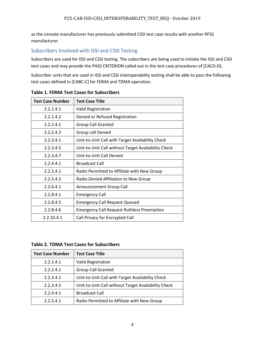as the console manufacturer has previously submitted CSSI test case results with another RFSS manufacturer.

## Subscribers Involved with ISSI and CSSI Testing

Subscribers are used for ISSI and CSSI testing. The subscribers are being used to initiate the ISSI and CSSI test cases and may provide the PASS CRITERION called out in the test case procedures of [CACD-D].

Subscriber units that are used in ISSI and CSSI interoperability testing shall be able to pass the following test cases defined in [CABC-C] for FDMA and TDMA operation.

| <b>Test Case Number</b> | <b>Test Case Title</b>                              |
|-------------------------|-----------------------------------------------------|
| 2.2.1.4.1               | <b>Valid Registration</b>                           |
| 2.2.1.4.2               | Denied or Refused Registration                      |
| 2.2.2.4.1               | <b>Group Call Granted</b>                           |
| 2.2.2.4.2               | Group call Denied                                   |
| 2.2.3.4.1               | Unit-to-Unit Call with Target Availability Check    |
| 2.2.3.4.5               | Unit-to-Unit Call without Target Availability Check |
| 2.2.3.4.7               | Unit-to-Unit Call Denied                            |
| 2.2.4.4.1               | <b>Broadcast Call</b>                               |
| 2.2.5.4.1               | Radio Permitted to Affiliate with New Group         |
| 2.2.5.4.2               | Radio Denied Affiliation to New Group               |
| 2.2.6.4.1               | Announcement Group Call                             |
| 2.2.8.4.1               | <b>Emergency Call</b>                               |
| 2.2.8.4.5               | <b>Emergency Call Request Queued</b>                |
| 2.2.8.4.6               | <b>Emergency Call Request Ruthless Preemption</b>   |
| 2.2.10.4.1              | Call Privacy for Encrypted Call                     |

#### **Table 1. FDMA Test Cases for Subscribers**

**Table 2. TDMA Test Cases for Subscribers**

| <b>Test Case Number</b> | <b>Test Case Title</b>                              |
|-------------------------|-----------------------------------------------------|
| 2.2.1.4.1               | <b>Valid Registration</b>                           |
| 2.2.2.4.1               | <b>Group Call Granted</b>                           |
| 2.2.3.4.1               | Unit-to-Unit Call with Target Availability Check    |
| 2.2.3.4.5               | Unit-to-Unit Call without Target Availability Check |
| 2.2.4.4.1               | <b>Broadcast Call</b>                               |
| 2.2.5.4.1               | Radio Permitted to Affiliate with New Group         |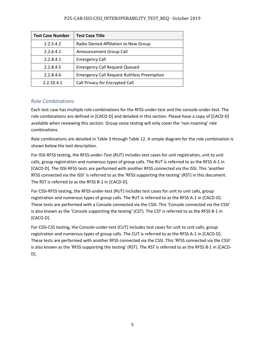#### P25-CAB-ISSI-CSSI\_INTEROPERABILITY\_TEST\_REQ - October 2019

| <b>Test Case Number</b> | <b>Test Case Title</b>                            |
|-------------------------|---------------------------------------------------|
| 2.2.5.4.2               | Radio Denied Affiliation to New Group             |
| 2.2.6.4.1               | Announcement Group Call                           |
| 2.2.8.4.1               | <b>Emergency Call</b>                             |
| 2.2.8.4.5               | <b>Emergency Call Request Queued</b>              |
| 2.2.8.4.6               | <b>Emergency Call Request Ruthless Preemption</b> |
| 2.2.10.4.1              | Call Privacy for Encrypted Call                   |

## Role Combinations

Each test case has multiple role combinations for the RFSS-under-test and the console-under-test. The role combinations are defined in [CACD-D] and detailed in this section. Please have a copy of [CACD-D] available when reviewing this section. Group voice testing will only cover the 'non-roaming' role combinations.

Role combinations are detailed in Table 3 through Table 12. A simple diagram for the role combination is shown below the text description.

For ISSI-RFSS testing, the RFSS-under-Test (RUT) includes test cases for unit registration, unit to unit calls, group registration and numerous types of group calls. The RUT is referred to as the RFSS A-1 in [CACD-D]. The ISSI-RFSS tests are performed with another RFSS connected via the ISSI. This 'another RFSS connected via the ISSI' is referred to as the 'RFSS supporting the testing' (RST) in this document. The RST is referred to as the RFSS B-1 in [CACD-D].

For CSSI-RFSS testing, the RFSS-under-test (RUT) includes test cases for unit to unit calls, group registration and numerous types of group calls. The RUT is referred to as the RFSS A-1 in [CACD-D]. These tests are performed with a Console connected via the CSSI. This 'Console connected via the CSSI' is also known as the 'Console supporting the testing' (CST). The CST is referred to as the RFSS B-1 in [CACD-D].

For CSSI-CSS testing, the Console-under-test (CUT) includes test cases for unit to unit calls, group registration and numerous types of group calls. The CUT is referred to as the RFSS A-1 in [CACD-D]. These tests are performed with another RFSS connected via the CSSI. This 'RFSS connected via the CSSI' is also known as the 'RFSS supporting the testing' (RST). The RST is referred to as the RFSS B-1 in [CACD-D].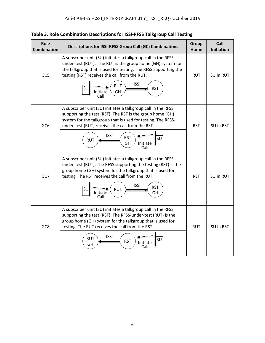| Role<br><b>Combination</b> | Descriptions for ISSI-RFSS Group Call (GC) Combinations                                                                                                                                                                                                                                                                      | Group<br>Home | Call<br><b>Initiation</b> |
|----------------------------|------------------------------------------------------------------------------------------------------------------------------------------------------------------------------------------------------------------------------------------------------------------------------------------------------------------------------|---------------|---------------------------|
| GC5                        | A subscriber unit (SU) initiates a talkgroup call in the RFSS-<br>under-test (RUT). The RUT is the group home (GH) system for<br>the talkgroup that is used for testing. The RFSS supporting the<br>testing (RST) receives the call from the RUT.<br><b>ISSI</b><br><b>RUT</b><br>SU<br><b>RST</b><br>GH<br>Initiate<br>Call | <b>RUT</b>    | SU in RUT                 |
| GC <sub>6</sub>            | A subscriber unit (SU) initiates a talkgroup call in the RFSS<br>supporting the test (RST). The RST is the group home (GH)<br>system for the talkgroup that is used for testing. The RFSS-<br>under-test (RUT) receives the call from the RST.<br><b>ISSI</b><br><b>RST</b><br>SU<br><b>RUT</b><br>GH<br>Initiate<br>Call    | <b>RST</b>    | SU in RST                 |
| GC7                        | A subscriber unit (SU) initiates a talkgroup call in the RFSS-<br>under-test (RUT). The RFSS supporting the testing (RST) is the<br>group home (GH) system for the talkgroup that is used for<br>testing. The RST receives the call from the RUT.<br><b>ISSI</b><br><b>RST</b><br>SU<br><b>RUT</b><br>Initiate<br>GH<br>Call | <b>RST</b>    | SU in RUT                 |
| GC8                        | A subscriber unit (SU) initiates a talkgroup call in the RFSS<br>supporting the test (RST). The RFSS-under-test (RUT) is the<br>group home (GH) system for the talkgroup that is used for<br>testing. The RUT receives the call from the RST.<br><b>ISSI</b><br><b>RUT</b><br>SU<br><b>RST</b><br>Initiate<br>GH<br>Call     | <b>RUT</b>    | SU in RST                 |

**Table 3. Role Combination Descriptions for ISSI-RFSS Talkgroup Call Testing**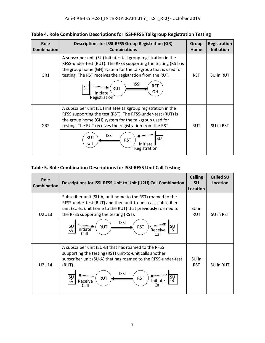| Role<br><b>Combination</b> | <b>Descriptions for ISSI-RFSS Group Registration (GR)</b><br><b>Combinations</b>                                                                                                                                                                               | Group<br>Home | Registration<br><b>Initiation</b> |
|----------------------------|----------------------------------------------------------------------------------------------------------------------------------------------------------------------------------------------------------------------------------------------------------------|---------------|-----------------------------------|
| GR <sub>1</sub>            | A subscriber unit (SU) initiates talkgroup registration in the<br>RFSS-under-test (RUT). The RFSS supporting the testing (RST) is<br>the group home (GH) system for the talkgroup that is used for<br>testing. The RST receives the registration from the RUT. | <b>RST</b>    | SU in RUT                         |
|                            | <b>ISSI</b><br><b>RST</b><br>SU<br><b>RUT</b><br>GH<br>Initiate<br>Registration                                                                                                                                                                                |               |                                   |
| GR <sub>2</sub>            | A subscriber unit (SU) initiates talkgroup registration in the<br>RFSS supporting the test (RST). The RFSS-under-test (RUT) is<br>the group home (GH) system for the talkgroup used for<br>testing. The RUT receives the registration from the RST.            | <b>RUT</b>    | SU in RST                         |
|                            | <b>ISSI</b><br><b>RUT</b><br><b>SU</b><br><b>RST</b><br>GH<br>Initiate<br>Registration                                                                                                                                                                         |               |                                   |

## **Table 5. Role Combination Descriptions for ISSI-RFSS Unit Call Testing**

| Role<br><b>Combination</b> | Descriptions for ISSI-RFSS Unit to Unit (U2U) Call Combination                                                                                                                                                                                                                                                                                       | <b>Calling</b><br><b>SU</b><br>Location | <b>Called SU</b><br>Location |
|----------------------------|------------------------------------------------------------------------------------------------------------------------------------------------------------------------------------------------------------------------------------------------------------------------------------------------------------------------------------------------------|-----------------------------------------|------------------------------|
| U2U13                      | Subscriber unit (SU-A, unit home to the RST) roamed to the<br>RFSS-under-test (RUT) and then unit-to-unit calls subscriber<br>unit (SU-B, unit home to the RUT) that previously roamed to<br>the RFSS supporting the testing (RST).<br><b>ISSI</b><br>SU<br>-B<br>SU<br><b>RUT</b><br><b>RST</b><br><b>Initiate</b><br>Receive<br>-A<br>Call<br>Call | SU in<br><b>RUT</b>                     | SU in RST                    |
| U2U14                      | A subscriber unit (SU-B) that has roamed to the RFSS<br>supporting the testing (RST) unit-to-unit calls another<br>subscriber unit (SU-A) that has roamed to the RFSS-under-test<br>(RUT).<br><b>ISSI</b><br>SU<br>-B<br>SU<br><b>RUT</b><br><b>RST</b><br>Initiate<br>Receive<br>-A<br>Call<br>Call                                                 | SU in<br><b>RST</b>                     | SU in RUT                    |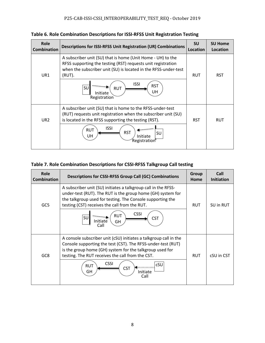**Table 6. Role Combination Descriptions for ISSI-RFSS Unit Registration Testing**

| Role<br><b>Combination</b> | <b>Descriptions for ISSI-RFSS Unit Registration (UR) Combinations</b>                                                                                                                                    | <b>SU</b><br>Location | <b>SU Home</b><br>Location |
|----------------------------|----------------------------------------------------------------------------------------------------------------------------------------------------------------------------------------------------------|-----------------------|----------------------------|
| UR1                        | A subscriber unit (SU) that is home (Unit Home - UH) to the<br>RFSS supporting the testing (RST) requests unit registration<br>when the subscriber unit (SU) is located in the RFSS-under-test<br>(RUT). | <b>RUT</b>            | <b>RST</b>                 |
|                            | <b>ISSI</b><br><b>RST</b><br>SU<br><b>RUT</b><br>UH<br>Initiate<br>Registration                                                                                                                          |                       |                            |
| UR <sub>2</sub>            | A subscriber unit (SU) that is home to the RFSS-under-test<br>(RUT) requests unit registration when the subscriber unit (SU)<br>is located in the RFSS supporting the testing (RST).                     | <b>RST</b>            | <b>RUT</b>                 |
|                            | <b>ISSI</b><br><b>RUT</b><br><b>RST</b><br>SU<br>UH<br>Initiate<br>Registration                                                                                                                          |                       |                            |

## **Table 7. Role Combination Descriptions for CSSI-RFSS Talkgroup Call testing**

| Role<br><b>Combination</b> | <b>Descriptions for CSSI-RFSS Group Call (GC) Combinations</b>                                                                                                                                                                                                                  | Group<br>Home | Call<br><b>Initiation</b> |
|----------------------------|---------------------------------------------------------------------------------------------------------------------------------------------------------------------------------------------------------------------------------------------------------------------------------|---------------|---------------------------|
| GC5                        | A subscriber unit (SU) initiates a talkgroup call in the RFSS-<br>under-test (RUT). The RUT is the group home (GH) system for<br>the talkgroup used for testing. The Console supporting the<br>testing (CST) receives the call from the RUT.<br><b>CSSI</b><br><b>RUT</b><br>SU | <b>RUT</b>    | SU in RUT                 |
|                            | <b>CST</b><br>Initiate<br>GH<br>Call                                                                                                                                                                                                                                            |               |                           |
| GC8                        | A console subscriber unit (cSU) initiates a talkgroup call in the<br>Console supporting the test (CST). The RFSS-under-test (RUT)<br>is the group home (GH) system for the talkgroup used for<br>testing. The RUT receives the call from the CST.                               | <b>RUT</b>    | cSU in CST                |
|                            | <b>CSSI</b><br>cSU<br><b>RUT</b><br><b>CST</b><br>GH<br>Initiate<br>Call                                                                                                                                                                                                        |               |                           |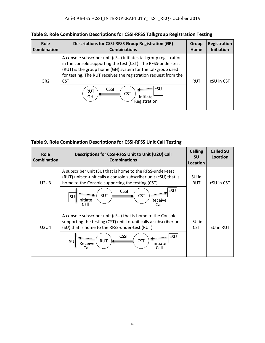**Table 8. Role Combination Descriptions for CSSI-RFSS Talkgroup Registration Testing**

| Role               | <b>Descriptions for CSSI-RFSS Group Registration (GR)</b>                                                                                                                                                                                                                                                                                                      | Group      | Registration      |
|--------------------|----------------------------------------------------------------------------------------------------------------------------------------------------------------------------------------------------------------------------------------------------------------------------------------------------------------------------------------------------------------|------------|-------------------|
| <b>Combination</b> | <b>Combinations</b>                                                                                                                                                                                                                                                                                                                                            | Home       | <b>Initiation</b> |
| GR <sub>2</sub>    | A console subscriber unit (cSU) initiates talkgroup registration<br>in the console supporting the test (CST). The RFSS-under-test<br>(RUT) is the group home (GH) system for the talkgroup used<br>for testing. The RUT receives the registration request from the<br>CST.<br>cSU<br><b>CSSI</b><br><b>RUT</b><br><b>CST</b><br>Initiate<br>GH<br>Registration | <b>RUT</b> | cSU in CST        |

| Table 9. Role Combination Descriptions for CSSI-RFSS Unit Call Testing |  |  |
|------------------------------------------------------------------------|--|--|
|------------------------------------------------------------------------|--|--|

| Role<br><b>Combination</b> | Descriptions for CSSI-RFSS Unit to Unit (U2U) Call<br><b>Combinations</b>                                                                                                           | <b>Calling</b><br><b>SU</b><br>Location | <b>Called SU</b><br>Location |
|----------------------------|-------------------------------------------------------------------------------------------------------------------------------------------------------------------------------------|-----------------------------------------|------------------------------|
| U2U3                       | A subscriber unit (SU) that is home to the RFSS-under-test<br>(RUT) unit-to-unit calls a console subscriber unit (cSU) that is<br>home to the Console supporting the testing (CST). | SU in<br><b>RUT</b>                     | cSU in CST                   |
|                            | cSU<br><b>CSSI</b><br><b>CST</b><br><b>RUT</b><br>SU<br>Initiate<br>Receive<br>Call<br>Call                                                                                         |                                         |                              |
| <b>U2U4</b>                | A console subscriber unit (cSU) that is home to the Console<br>supporting the testing (CST) unit-to-unit calls a subscriber unit<br>(SU) that is home to the RFSS-under-test (RUT). | cSU in<br><b>CST</b>                    | SU in RUT                    |
|                            | <b>CSSI</b><br>cSU<br><b>RUT</b><br><b>CST</b><br>SU<br>Receive<br>Initiate<br>Call<br>Call                                                                                         |                                         |                              |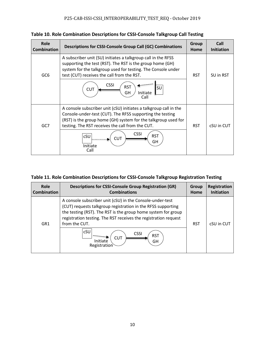**Table 10. Role Combination Descriptions for CSSI-Console Talkgroup Call Testing**

| <b>Role</b><br><b>Combination</b> | <b>Descriptions for CSSI-Console Group Call (GC) Combinations</b>                                                                                                                                                                                    | <b>Group</b><br>Home | Call<br><b>Initiation</b> |
|-----------------------------------|------------------------------------------------------------------------------------------------------------------------------------------------------------------------------------------------------------------------------------------------------|----------------------|---------------------------|
| GC <sub>6</sub>                   | A subscriber unit (SU) initiates a talkgroup call in the RFSS<br>supporting the test (RST). The RST is the group home (GH)<br>system for the talkgroup used for testing. The Console under<br>test (CUT) receives the call from the RST.             | <b>RST</b>           | SU in RST                 |
|                                   | <b>CSSI</b><br><b>RST</b><br>SU<br><b>CUT</b><br><b>Initiate</b><br>GH<br>Call                                                                                                                                                                       |                      |                           |
| GC7                               | A console subscriber unit (cSU) initiates a talkgroup call in the<br>Console-under-test (CUT). The RFSS supporting the testing<br>(RST) is the group home (GH) system for the talkgroup used for<br>testing. The RST receives the call from the CUT. | <b>RST</b>           | cSU in CUT                |
|                                   | <b>CSSI</b><br><b>RST</b><br>cSU<br><b>CUT</b><br>GH<br>Initiate<br>Call                                                                                                                                                                             |                      |                           |

| Table 11. Role Combination Descriptions for CSSI-Console Talkgroup Registration Testing |  |  |  |
|-----------------------------------------------------------------------------------------|--|--|--|
|-----------------------------------------------------------------------------------------|--|--|--|

| <b>Role</b><br><b>Combination</b> | <b>Descriptions for CSSI-Console Group Registration (GR)</b><br><b>Combinations</b>                                                                                                                                                                                            | <b>Group</b><br>Home | Registration<br><b>Initiation</b> |
|-----------------------------------|--------------------------------------------------------------------------------------------------------------------------------------------------------------------------------------------------------------------------------------------------------------------------------|----------------------|-----------------------------------|
| GR <sub>1</sub>                   | A console subscriber unit (cSU) in the Console-under-test<br>(CUT) requests talkgroup registration in the RFSS supporting<br>the testing (RST). The RST is the group home system for group<br>registration testing. The RST receives the registration request<br>from the CUT. | <b>RST</b>           | cSU in CUT                        |
|                                   | cSU<br><b>CSSI</b><br><b>RST</b><br><b>CUT</b><br>Initiate<br>GH<br>Registration                                                                                                                                                                                               |                      |                                   |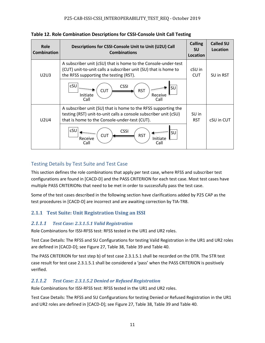|  |  |  |  |  | Table 12. Role Combination Descriptions for CSSI-Console Unit Call Testing |
|--|--|--|--|--|----------------------------------------------------------------------------|
|--|--|--|--|--|----------------------------------------------------------------------------|

| <b>Role</b><br><b>Combination</b> | Descriptions for CSSI-Console Unit to Unit (U2U) Call<br><b>Combinations</b>                                                                                                        | <b>Calling</b><br><b>SU</b><br>Location | <b>Called SU</b><br>Location |
|-----------------------------------|-------------------------------------------------------------------------------------------------------------------------------------------------------------------------------------|-----------------------------------------|------------------------------|
| U2U3                              | A subscriber unit (cSU) that is home to the Console-under-test<br>(CUT) unit-to-unit calls a subscriber unit (SU) that is home to<br>the RFSS supporting the testing (RST).         | cSU in<br><b>CUT</b>                    | SU in RST                    |
|                                   | cSU<br><b>CSSI</b><br>SU<br><b>CUT</b><br><b>RST</b><br>Initiate<br>Receive<br>Call<br>Call                                                                                         |                                         |                              |
| <b>U2U4</b>                       | A subscriber unit (SU) that is home to the RFSS supporting the<br>testing (RST) unit-to-unit calls a console subscriber unit (cSU)<br>that is home to the Console-under-test (CUT). | SU in<br><b>RST</b>                     | cSU in CUT                   |
|                                   | cSU<br><b>CSSI</b><br><b>SU</b><br><b>CUT</b><br><b>RST</b><br>Receive<br>Initiate<br>Call<br>Call                                                                                  |                                         |                              |

## Testing Details by Test Suite and Test Case

This section defines the role combinations that apply per test case, where RFSS and subscriber test configurations are found in [CACD-D] and the PASS CRITERION for each test case. Most test cases have multiple PASS CRITERIONs that need to be met in order to successfully pass the test case.

Some of the test cases described in the following section have clarifications added by P25 CAP as the test procedures in [CACD-D] are incorrect and are awaiting correction by TIA-TR8.

## **2.1.1 Test Suite: Unit Registration Using an ISSI**

## *2.1.1.1 Test Case: 2.3.1.5.1 Valid Registration*

Role Combinations for ISSI-RFSS test: RFSS tested in the UR1 and UR2 roles.

Test Case Details: The RFSS and SU Configurations for testing Valid Registration in the UR1 and UR2 roles are defined in [CACD-D]; see Figure 27, Table 38, Table 39 and Table 40.

The PASS CRITERION for test step b) of test case 2.3.1.5.1 shall be recorded on the DTR. The STR test case result for test case 2.3.1.5.1 shall be considered a 'pass' when the PASS CRITERION is positively verified.

## *2.1.1.2 Test Case: 2.3.1.5.2 Denied or Refused Registration*

Role Combinations for ISSI-RFSS test: RFSS tested in the UR1 and UR2 roles.

Test Case Details: The RFSS and SU Configurations for testing Denied or Refused Registration in the UR1 and UR2 roles are defined in [CACD-D]; see Figure 27, Table 38, Table 39 and Table 40.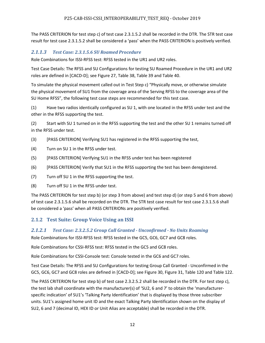The PASS CRITERION for test step c) of test case 2.3.1.5.2 shall be recorded in the DTR. The STR test case result for test case 2.3.1.5.2 shall be considered a 'pass' when the PASS CRITERION is positively verified.

## *2.1.1.3 Test Case: 2.3.1.5.6 SU Roamed Procedure*

Role Combinations for ISSI-RFSS test: RFSS tested in the UR1 and UR2 roles.

Test Case Details: The RFSS and SU Configurations for testing SU Roamed Procedure in the UR1 and UR2 roles are defined in [CACD-D]; see Figure 27, Table 38, Table 39 and Table 40.

To simulate the physical movement called out in Test Step c) "Physically move, or otherwise simulate the physical movement of SU1 from the coverage area of the Serving RFSS to the coverage area of the SU Home RFSS", the following test case steps are recommended for this test case.

(1) Have two radios identically configured as SU 1, with one located in the RFSS under test and the other in the RFSS supporting the test.

(2) Start with SU 1 turned on in the RFSS supporting the test and the other SU 1 remains turned off in the RFSS under test.

- (3) [PASS CRITERION] Verifying SU1 has registered in the RFSS supporting the test,
- (4) Turn on SU 1 in the RFSS under test.
- (5) [PASS CRITERION] Verifying SU1 in the RFSS under test has been registered
- (6) [PASS CRITERION] Verify that SU1 in the RFSS supporting the test has been deregistered.
- (7) Turn off SU 1 in the RFSS supporting the test.
- (8) Turn off SU 1 in the RFSS under test.

The PASS CRITERION for test step b) (or step 3 from above) and test step d) (or step 5 and 6 from above) of test case 2.3.1.5.6 shall be recorded on the DTR. The STR test case result for test case 2.3.1.5.6 shall be considered a 'pass' when all PASS CRITERIONs are positively verified.

## **2.1.2 Test Suite: Group Voice Using an ISSI**

## *2.1.2.1 Test Case: 2.3.2.5.2 Group Call Granted - Unconfirmed - No Units Roaming*

Role Combinations for ISSI-RFSS test: RFSS tested in the GC5, GC6, GC7 and GC8 roles.

Role Combinations for CSSI-RFSS test: RFSS tested in the GC5 and GC8 roles.

Role Combinations for CSSI-Console test: Console tested in the GC6 and GC7 roles.

Test Case Details: The RFSS and SU Configurations for testing Group Call Granted - Unconfirmed in the GC5, GC6, GC7 and GC8 roles are defined in [CACD-D]; see Figure 30, Figure 31, Table 120 and Table 122.

The PASS CRITERION for test step b) of test case 2.3.2.5.2 shall be recorded in the DTR. For test step c), the test lab shall coordinate with the manufacturer(s) of 'SU2, 6 and 7' to obtain the 'manufacturerspecific indication' of SU1's 'Talking Party Identification' that is displayed by those three subscriber units. SU1's assigned home unit ID and the exact Talking Party Identification shown on the display of SU2, 6 and 7 (decimal ID, HEX ID or Unit Alias are acceptable) shall be recorded in the DTR.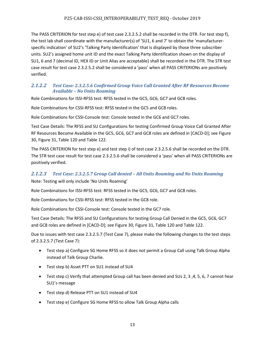#### P25-CAB-ISSI-CSSI\_INTEROPERABILITY\_TEST\_REQ - October 2019

The PASS CRITERION for test step e) of test case 2.3.2.5.2 shall be recorded in the DTR. For test step f), the test lab shall coordinate with the manufacturer(s) of 'SU1, 6 and 7' to obtain the 'manufacturerspecific indication' of SU2's 'Talking Party Identification' that is displayed by those three subscriber units. SU2's assigned home unit ID and the exact Talking Party Identification shown on the display of SU1, 6 and 7 (decimal ID, HEX ID or Unit Alias are acceptable) shall be recorded in the DTR. The STR test case result for test case 2.3.2.5.2 shall be considered a 'pass' when all PASS CRITERIONs are positively verified.

#### *2.1.2.2 Test Case: 2.3.2.5.6 Confirmed Group Voice Call Granted After RF Resources Become Available – No Units Roaming*

Role Combinations for ISSI-RFSS test: RFSS tested in the GC5, GC6, GC7 and GC8 roles.

Role Combinations for CSSI-RFSS test: RFSS tested in the GC5 and GC8 roles.

Role Combinations for CSSI-Console test: Console tested in the GC6 and GC7 roles.

Test Case Details: The RFSS and SU Configurations for testing Confirmed Group Voice Call Granted After RF Resources Become Available in the GC5, GC6, GC7 and GC8 roles are defined in [CACD-D]; see Figure 30, Figure 31, Table 120 and Table 122.

The PASS CRITERION for test step e) and test step i) of test case 2.3.2.5.6 shall be recorded on the DTR. The STR test case result for test case 2.3.2.5.6 shall be considered a 'pass' when all PASS CRITERIONs are positively verified.

#### *2.1.2.3 Test Case: 2.3.2.5.7 Group Call denied – All Units Roaming and No Units Roaming*

Note: Testing will only include 'No Units Roaming'

Role Combinations for ISSI-RFSS test: RFSS tested in the GC5, GC6, GC7 and GC8 roles.

Role Combinations for CSSI-RFSS test: RFSS tested in the GC8 role.

Role Combinations for CSSI-Console test: Console tested in the GC7 role.

Test Case Details: The RFSS and SU Configurations for testing Group Call Denied in the GC5, GC6, GC7 and GC8 roles are defined in [CACD-D]; see Figure 30, Figure 31, Table 120 and Table 122.

Due to issues with test case 2.3.2.5.7 (Test Case 7), please make the following changes to the test steps of 2.3.2.5.7 (Test Case 7):

- Test step a) Configure SG Home RFSS so it does not permit a Group Call using Talk Group Alpha instead of Talk Group Charlie.
- Test step b) Asset PTT on SU1 instead of SU4
- Test step c) Verify that attempted Group call has been denied and SUs 2, 3, 4, 5, 6, 7 cannot hear SU1's message
- Test step d) Release PTT on SU1 instead of SU4
- Test step e) Configure SG Home RFSS to allow Talk Group Alpha calls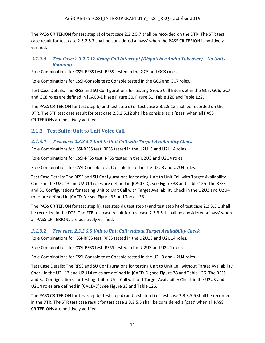The PASS CRITERION for test step c) of test case 2.3.2.5.7 shall be recorded on the DTR. The STR test case result for test case 2.3.2.5.7 shall be considered a 'pass' when the PASS CRITERION is positively verified.

## *2.1.2.4 Test Case: 2.3.2.5.12 Group Call Interrupt (Dispatcher Audio Takeover) – No Units Roaming*

Role Combinations for CSSI-RFSS test: RFSS tested in the GC5 and GC8 roles.

Role Combinations for CSSI-Console test: Console tested in the GC6 and GC7 roles.

Test Case Details: The RFSS and SU Configurations for testing Group Call Interrupt in the GC5, GC6, GC7 and GC8 roles are defined in [CACD-D]; see Figure 30, Figure 31, Table 120 and Table 122.

The PASS CRITERION for test step b) and test step d) of test case 2.3.2.5.12 shall be recorded on the DTR. The STR test case result for test case 2.3.2.5.12 shall be considered a 'pass' when all PASS CRITERIONs are positively verified.

## **2.1.3 Test Suite: Unit to Unit Voice Call**

## *2.1.3.1 Test case: 2.3.3.5.1 Unit to Unit Call with Target Availability Check*

Role Combinations for ISSI-RFSS test: RFSS tested in the U2U13 and U2U14 roles.

Role Combinations for CSSI-RFSS test: RFSS tested in the U2U3 and U2U4 roles.

Role Combinations for CSSI-Console test: Console tested in the U2U3 and U2U4 roles.

Test Case Details: The RFSS and SU Configurations for testing Unit to Unit Call with Target Availability Check in the U2U13 and U2U14 roles are defined in [CACD-D]; see Figure 38 and Table 126. The RFSS and SU Configurations for testing Unit to Unit Call with Target Availability Check in the U2U3 and U2U4 roles are defined in [CACD-D]; see Figure 33 and Table 126.

The PASS CRITERION for test step b), test step d), test step f) and test step h) of test case 2.3.3.5.1 shall be recorded in the DTR. The STR test case result for test case 2.3.3.5.1 shall be considered a 'pass' when all PASS CRITERIONs are positively verified.

## *2.1.3.2 Test case: 2.3.3.5.5 Unit to Unit Call without Target Availability Check*

Role Combinations for ISSI-RFSS test: RFSS tested in the U2U13 and U2U14 roles.

Role Combinations for CSSI-RFSS test: RFSS tested in the U2U3 and U2U4 roles.

Role Combinations for CSSI-Console test: Console tested in the U2U3 and U2U4 roles.

Test Case Details: The RFSS and SU Configurations for testing Unit to Unit Call without Target Availability Check in the U2U13 and U2U14 roles are defined in [CACD-D]; see Figure 38 and Table 126. The RFSS and SU Configurations for testing Unit to Unit Call without Target Availability Check in the U2U3 and U2U4 roles are defined in [CACD-D]; see Figure 33 and Table 126.

The PASS CRITERION for test step b), test step d) and test step f) of test case 2.3.3.5.5 shall be recorded in the DTR. The STR test case result for test case 2.3.3.5.5 shall be considered a 'pass' when all PASS CRITERIONs are positively verified.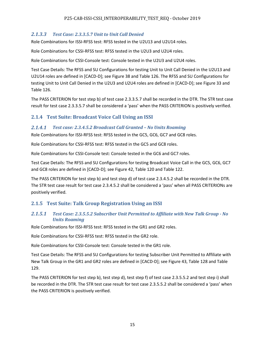## *2.1.3.3 Test Case: 2.3.3.5.7 Unit to Unit Call Denied*

Role Combinations for ISSI-RFSS test: RFSS tested in the U2U13 and U2U14 roles.

Role Combinations for CSSI-RFSS test: RFSS tested in the U2U3 and U2U4 roles.

Role Combinations for CSSI-Console test: Console tested in the U2U3 and U2U4 roles.

Test Case Details: The RFSS and SU Configurations for testing Unit to Unit Call Denied in the U2U13 and U2U14 roles are defined in [CACD-D]; see Figure 38 and Table 126. The RFSS and SU Configurations for testing Unit to Unit Call Denied in the U2U3 and U2U4 roles are defined in [CACD-D]; see Figure 33 and Table 126.

The PASS CRITERION for test step b) of test case 2.3.3.5.7 shall be recorded in the DTR. The STR test case result for test case 2.3.3.5.7 shall be considered a 'pass' when the PASS CRITERION is positively verified.

## **2.1.4 Test Suite: Broadcast Voice Call Using an ISSI**

#### *2.1.4.1 Test case: 2.3.4.5.2 Broadcast Call Granted – No Units Roaming*

Role Combinations for ISSI-RFSS test: RFSS tested in the GC5, GC6, GC7 and GC8 roles.

Role Combinations for CSSI-RFSS test: RFSS tested in the GC5 and GC8 roles.

Role Combinations for CSSI-Console test: Console tested in the GC6 and GC7 roles.

Test Case Details: The RFSS and SU Configurations for testing Broadcast Voice Call in the GC5, GC6, GC7 and GC8 roles are defined in [CACD-D]; see Figure 42, Table 120 and Table 122.

The PASS CRITERION for test step b) and test step d) of test case 2.3.4.5.2 shall be recorded in the DTR. The STR test case result for test case 2.3.4.5.2 shall be considered a 'pass' when all PASS CRITERIONs are positively verified.

## **2.1.5 Test Suite: Talk Group Registration Using an ISSI**

#### *2.1.5.1 Test Case: 2.3.5.5.2 Subscriber Unit Permitted to Affiliate with New Talk Group - No Units Roaming*

Role Combinations for ISSI-RFSS test: RFSS tested in the GR1 and GR2 roles.

Role Combinations for CSSI-RFSS test: RFSS tested in the GR2 role.

Role Combinations for CSSI-Console test: Console tested in the GR1 role.

Test Case Details: The RFSS and SU Configurations for testing Subscriber Unit Permitted to Affiliate with New Talk Group in the GR1 and GR2 roles are defined in [CACD-D]; see Figure 43, Table 128 and Table 129.

The PASS CRITERION for test step b), test step d), test step f) of test case 2.3.5.5.2 and test step i) shall be recorded in the DTR. The STR test case result for test case 2.3.5.5.2 shall be considered a 'pass' when the PASS CRITERION is positively verified.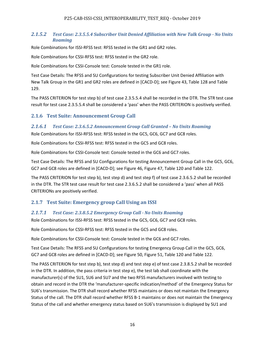#### *2.1.5.2 Test Case: 2.3.5.5.4 Subscriber Unit Denied Affiliation with New Talk Group - No Units Roaming*

Role Combinations for ISSI-RFSS test: RFSS tested in the GR1 and GR2 roles.

Role Combinations for CSSI-RFSS test: RFSS tested in the GR2 role.

Role Combinations for CSSI-Console test: Console tested in the GR1 role.

Test Case Details: The RFSS and SU Configurations for testing Subscriber Unit Denied Affiliation with New Talk Group in the GR1 and GR2 roles are defined in [CACD-D]; see Figure 43, Table 128 and Table 129.

The PASS CRITERION for test step b) of test case 2.3.5.5.4 shall be recorded in the DTR. The STR test case result for test case 2.3.5.5.4 shall be considered a 'pass' when the PASS CRITERION is positively verified.

## **2.1.6 Test Suite: Announcement Group Call**

## *2.1.6.1 Test Case: 2.3.6.5.2 Announcement Group Call Granted – No Units Roaming*

Role Combinations for ISSI-RFSS test: RFSS tested in the GC5, GC6, GC7 and GC8 roles.

Role Combinations for CSSI-RFSS test: RFSS tested in the GC5 and GC8 roles.

Role Combinations for CSSI-Console test: Console tested in the GC6 and GC7 roles.

Test Case Details: The RFSS and SU Configurations for testing Announcement Group Call in the GC5, GC6, GC7 and GC8 roles are defined in [CACD-D]; see Figure 46, Figure 47, Table 120 and Table 122.

The PASS CRITERION for test step b), test step d) and test step f) of test case 2.3.6.5.2 shall be recorded in the DTR. The STR test case result for test case 2.3.6.5.2 shall be considered a 'pass' when all PASS CRITERIONs are positively verified.

## **2.1.7 Test Suite: Emergency group Call Using an ISSI**

## *2.1.7.1 Test Case: 2.3.8.5.2 Emergency Group Call - No Units Roaming*

Role Combinations for ISSI-RFSS test: RFSS tested in the GC5, GC6, GC7 and GC8 roles.

Role Combinations for CSSI-RFSS test: RFSS tested in the GC5 and GC8 roles.

Role Combinations for CSSI-Console test: Console tested in the GC6 and GC7 roles.

Test Case Details: The RFSS and SU Configurations for testing Emergency Group Call in the GC5, GC6, GC7 and GC8 roles are defined in [CACD-D]; see Figure 50, Figure 51, Table 120 and Table 122.

The PASS CRITERION for test step b), test step d) and test step e) of test case 2.3.8.5.2 shall be recorded in the DTR. In addition, the pass criteria in test step e), the test lab shall coordinate with the manufacturer(s) of the SU1, SU6 and SU7 and the two RFSS manufacturers involved with testing to obtain and record in the DTR the 'manufacturer-specific indication/method' of the Emergency Status for SU6's transmission. The DTR shall record whether RFSS maintains or does not maintain the Emergency Status of the call. The DTR shall record whether RFSS B-1 maintains or does not maintain the Emergency Status of the call and whether emergency status based on SU6's transmission is displayed by SU1 and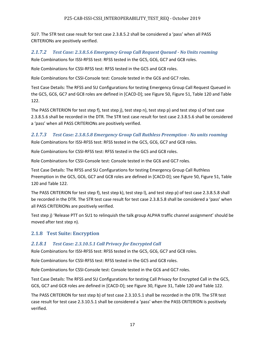SU7. The STR test case result for test case 2.3.8.5.2 shall be considered a 'pass' when all PASS CRITERIONs are positively verified.

## *2.1.7.2 Test Case: 2.3.8.5.6 Emergency Group Call Request Queued - No Units roaming*  Role Combinations for ISSI-RFSS test: RFSS tested in the GC5, GC6, GC7 and GC8 roles.

Role Combinations for CSSI-RFSS test: RFSS tested in the GC5 and GC8 roles.

Role Combinations for CSSI-Console test: Console tested in the GC6 and GC7 roles.

Test Case Details: The RFSS and SU Configurations for testing Emergency Group Call Request Queued in the GC5, GC6, GC7 and GC8 roles are defined in [CACD-D]; see Figure 50, Figure 51, Table 120 and Table 122.

The PASS CRITERION for test step f), test step j), test step n), test step p) and test step s) of test case 2.3.8.5.6 shall be recorded in the DTR. The STR test case result for test case 2.3.8.5.6 shall be considered a 'pass' when all PASS CRITERIONs are positively verified.

## *2.1.7.3 Test Case: 2.3.8.5.8 Emergency Group Call Ruthless Preemption - No units roaming*

Role Combinations for ISSI-RFSS test: RFSS tested in the GC5, GC6, GC7 and GC8 roles.

Role Combinations for CSSI-RFSS test: RFSS tested in the GC5 and GC8 roles.

Role Combinations for CSSI-Console test: Console tested in the GC6 and GC7 roles.

Test Case Details: The RFSS and SU Configurations for testing Emergency Group Call Ruthless Preemption in the GC5, GC6, GC7 and GC8 roles are defined in [CACD-D]; see Figure 50, Figure 51, Table 120 and Table 122.

The PASS CRITERION for test step f), test step k), test step l), and test step p) of test case 2.3.8.5.8 shall be recorded in the DTR. The STR test case result for test case 2.3.8.5.8 shall be considered a 'pass' when all PASS CRITERIONs are positively verified.

Test step j) 'Release PTT on SU1 to relinquish the talk group ALPHA traffic channel assignment' should be moved after test step n).

## **2.1.8 Test Suite: Encryption**

## *2.1.8.1 Test Case: 2.3.10.5.1 Call Privacy for Encrypted Call*

Role Combinations for ISSI-RFSS test: RFSS tested in the GC5, GC6, GC7 and GC8 roles.

Role Combinations for CSSI-RFSS test: RFSS tested in the GC5 and GC8 roles.

Role Combinations for CSSI-Console test: Console tested in the GC6 and GC7 roles.

Test Case Details: The RFSS and SU Configurations for testing Call Privacy for Encrypted Call in the GC5, GC6, GC7 and GC8 roles are defined in [CACD-D]; see Figure 30, Figure 31, Table 120 and Table 122.

The PASS CRITERION for test step b) of test case 2.3.10.5.1 shall be recorded in the DTR. The STR test case result for test case 2.3.10.5.1 shall be considered a 'pass' when the PASS CRITERION is positively verified.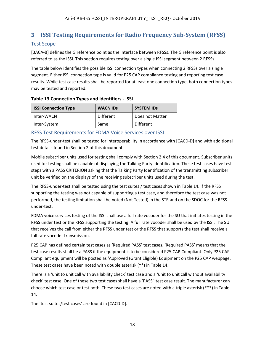## **3 ISSI Testing Requirements for Radio Frequency Sub-System (RFSS)**

## Test Scope

[BACA-B] defines the G reference point as the interface between RFSSs. The G reference point is also referred to as the ISSI. This section requires testing over a single ISSI segment between 2 RFSSs.

The table below identifies the possible ISSI connection types when connecting 2 RFSSs over a single segment. Either ISSI connection type is valid for P25 CAP compliance testing and reporting test case results. While test case results shall be reported for at least one connection type, both connection types may be tested and reported.

#### **Table 13 Connection Types and Identifiers - ISSI**

| <b>ISSI Connection Type</b> | <b>WACN IDS</b> | <b>SYSTEM IDS</b> |
|-----------------------------|-----------------|-------------------|
| Inter-WACN                  | Different       | Does not Matter   |
| Inter-System                | Same            | Different         |

## RFSS Test Requirements for FDMA Voice Services over ISSI

The RFSS-under-test shall be tested for interoperability in accordance with [CACD-D] and with additional test details found in Section 2 of this document.

Mobile subscriber units used for testing shall comply with Section 2.4 of this document. Subscriber units used for testing shall be capable of displaying the Talking Party Identification. These test cases have test steps with a PASS CRITERION asking that the Talking Party Identification of the transmitting subscriber unit be verified on the displays of the receiving subscriber units used during the test.

The RFSS-under-test shall be tested using the test suites / test cases shown in Table 14. If the RFSS supporting the testing was not capable of supporting a test case, and therefore the test case was not performed, the testing limitation shall be noted (Not Tested) in the STR and on the SDOC for the RFSSunder-test.

FDMA voice services testing of the ISSI shall use a full rate vocoder for the SU that initiates testing in the RFSS under test or the RFSS supporting the testing. A full rate vocoder shall be used by the ISSI. The SU that receives the call from either the RFSS under test or the RFSS that supports the test shall receive a full rate vocoder transmission.

P25 CAP has defined certain test cases as 'Required PASS' test cases. 'Required PASS' means that the test case results shall be a PASS if the equipment is to be considered P25 CAP Compliant. Only P25 CAP Compliant equipment will be posted as 'Approved (Grant Eligible) Equipment on the P25 CAP webpage. These test cases have been noted with double asterisk (\*\*) in Table 14.

There is a 'unit to unit call with availability check' test case and a 'unit to unit call without availability check' test case. One of these two test cases shall have a 'PASS" test case result. The manufacturer can choose which test case or test both. These two test cases are noted with a triple asterisk (\*\*\*) in Table 14.

The 'test suites/test cases' are found in [CACD-D].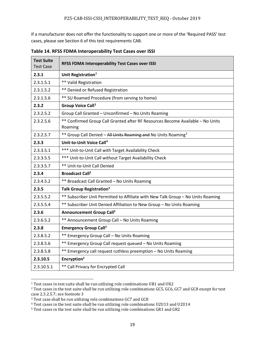If a manufacturer does not offer the functionality to support one or more of the 'Required PASS' test cases, please see Section 6 of this test requirements CAB.

| <b>Test Suite</b><br><b>Test Case</b> | RFSS FDMA Interoperability Test Cases over ISSI                                           |
|---------------------------------------|-------------------------------------------------------------------------------------------|
| 2.3.1                                 | Unit Registration <sup>1</sup>                                                            |
| 2.3.1.5.1                             | ** Valid Registration                                                                     |
| 2.3.1.5.2                             | ** Denied or Refused Registration                                                         |
| 2.3.1.5.6                             | ** SU Roamed Procedure (from serving to home)                                             |
| 2.3.2                                 | <b>Group Voice Call<sup>2</sup></b>                                                       |
| 2.3.2.5.2                             | Group Call Granted - Unconfirmed - No Units Roaming                                       |
| 2.3.2.5.6                             | ** Confirmed Group Call Granted after RF Resources Become Available - No Units<br>Roaming |
| 2.3.2.5.7                             | ** Group Call Denied - All Units Roaming and No Units Roaming <sup>3</sup>                |
| 2.3.3                                 | Unit-to-Unit Voice Call <sup>4</sup>                                                      |
| 2.3.3.5.1                             | *** Unit-to-Unit Call with Target Availability Check                                      |
| 2.3.3.5.5                             | *** Unit-to-Unit Call without Target Availability Check                                   |
| 2.3.3.5.7                             | ** Unit-to-Unit Call Denied                                                               |
| 2.3.4                                 | <b>Broadcast Call<sup>2</sup></b>                                                         |
| 2.3.4.5.2                             | ** Broadcast Call Granted - No Units Roaming                                              |
| 2.3.5                                 | Talk Group Registration <sup>5</sup>                                                      |
| 2.3.5.5.2                             | ** Subscriber Unit Permitted to Affiliate with New Talk Group - No Units Roaming          |
| 2.3.5.5.4                             | ** Subscriber Unit Denied Affiliation to New Group - No Units Roaming                     |
| 2.3.6                                 | <b>Announcement Group Call<sup>2</sup></b>                                                |
| 2.3.6.5.2                             | ** Announcement Group Call - No Units Roaming                                             |
| 2.3.8                                 | <b>Emergency Group Call<sup>2</sup></b>                                                   |
| 2.3.8.5.2                             | ** Emergency Group Call - No Units Roaming                                                |
| 2.3.8.5.6                             | ** Emergency Group Call request queued - No Units Roaming                                 |
| 2.3.8.5.8                             | ** Emergency call request ruthless preemption - No Units Roaming                          |
| 2.3.10.5                              | Encryption <sup>2</sup>                                                                   |
| 2.3.10.5.1                            | ** Call Privacy for Encrypted Call                                                        |

**Table 14. RFSS FDMA Interoperability Test Cases over ISSI**

l

<span id="page-22-0"></span><sup>&</sup>lt;sup>1</sup> Test cases in test suite shall be run utilizing role combinations UR1 and UR2

<span id="page-22-1"></span><sup>2</sup> Test cases in the test suite shall be run utilizing role combinations GC5, GC6, GC7 and GC8 except for test case 2.3.2.5.7; see footnote 3

<span id="page-22-2"></span><sup>3</sup> Test case shall be run utilizing role combinations GC7 and GC8

<span id="page-22-3"></span><sup>4</sup> Test cases in the test suite shall be run utilizing role combinations U2U13 and U2U14

<span id="page-22-4"></span><sup>5</sup> Test cases in the test suite shall be run utilizing role combinations GR1 and GR2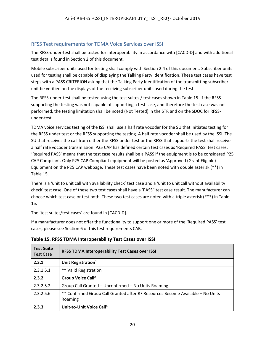## RFSS Test requirements for TDMA Voice Services over ISSI

The RFSS-under-test shall be tested for interoperability in accordance with [CACD-D] and with additional test details found in Section 2 of this document.

Mobile subscriber units used for testing shall comply with Section 2.4 of this document. Subscriber units used for testing shall be capable of displaying the Talking Party Identification. These test cases have test steps with a PASS CRITERION asking that the Talking Party Identification of the transmitting subscriber unit be verified on the displays of the receiving subscriber units used during the test.

The RFSS-under-test shall be tested using the test suites / test cases shown in Table 15. If the RFSS supporting the testing was not capable of supporting a test case, and therefore the test case was not performed, the testing limitation shall be noted (Not Tested) in the STR and on the SDOC for RFSSunder-test.

TDMA voice services testing of the ISSI shall use a half rate vocoder for the SU that initiates testing for the RFSS under test or the RFSS supporting the testing. A half rate vocoder shall be used by the ISSI. The SU that receives the call from either the RFSS under test or the RFSS that supports the test shall receive a half rate vocoder transmission. P25 CAP has defined certain test cases as 'Required PASS' test cases. 'Required PASS' means that the test case results shall be a PASS if the equipment is to be considered P25 CAP Compliant. Only P25 CAP Compliant equipment will be posted as 'Approved (Grant Eligible) Equipment on the P25 CAP webpage. These test cases have been noted with double asterisk (\*\*) in Table 15.

There is a 'unit to unit call with availability check' test case and a 'unit to unit call without availability check' test case. One of these two test cases shall have a 'PASS" test case result. The manufacturer can choose which test case or test both. These two test cases are noted with a triple asterisk (\*\*\*) in Table 15.

The 'test suites/test cases' are found in [CACD-D].

If a manufacturer does not offer the functionality to support one or more of the 'Required PASS' test cases, please see Section 6 of this test requirements CAB.

| <b>Test Suite</b><br><b>Test Case</b> | <b>RFSS TDMA Interoperability Test Cases over ISSI</b>                                    |
|---------------------------------------|-------------------------------------------------------------------------------------------|
| 2.3.1                                 | Unit Registration $1$                                                                     |
| 2.3.1.5.1                             | ** Valid Registration                                                                     |
| 2.3.2                                 | Group Voice Call <sup>2</sup>                                                             |
| 2.3.2.5.2                             | Group Call Granted - Unconfirmed - No Units Roaming                                       |
| 2.3.2.5.6                             | ** Confirmed Group Call Granted after RF Resources Become Available - No Units<br>Roaming |
| 2.3.3                                 | Unit-to-Unit Voice Call <sup>4</sup>                                                      |

**Table 15. RFSS TDMA Interoperability Test Cases over ISSI**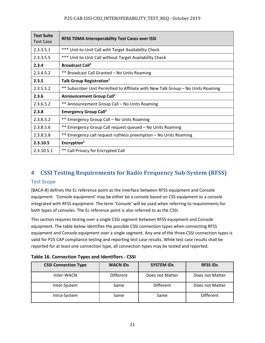| <b>Test Suite</b><br><b>Test Case</b> | <b>RFSS TDMA Interoperability Test Cases over ISSI</b>                           |
|---------------------------------------|----------------------------------------------------------------------------------|
| 2.3.3.5.1                             | *** Unit-to-Unit Call with Target Availability Check                             |
| 2.3.3.5.5                             | *** Unit-to-Unit Call without Target Availability Check                          |
| 2.3.4                                 | <b>Broadcast Call<sup>2</sup></b>                                                |
| 2.3.4.5.2                             | ** Broadcast Call Granted - No Units Roaming                                     |
| 2.3.5                                 | Talk Group Registration <sup>5</sup>                                             |
| 2.3.5.5.2                             | ** Subscriber Unit Permitted to Affiliate with New Talk Group - No Units Roaming |
| 2.3.6                                 | Announcement Group Call <sup>2</sup>                                             |
| 2.3.6.5.2                             | ** Announcement Group Call - No Units Roaming                                    |
| 2.3.8                                 | <b>Emergency Group Call<sup>2</sup></b>                                          |
| 2.3.8.5.2                             | ** Emergency Group Call - No Units Roaming                                       |
| 2.3.8.5.6                             | ** Emergency Group Call request queued - No Units Roaming                        |
| 2.3.8.5.8                             | ** Emergency call request ruthless preemption - No Units Roaming                 |
| 2.3.10.5                              | Encryption <sup>2</sup>                                                          |
| 2.3.10.5.1                            | ** Call Privacy for Encrypted Call                                               |

## **4 CSSI Testing Requirements for Radio Frequency Sub-System (RFSS)**

#### Test Scope

[BACA-B] defines the Ec reference point as the interface between RFSS equipment and Console equipment. 'Console equipment' may be either be a console based on CSS equipment or a console integrated with RFSS equipment. The term 'Console' will be used when referring to requirements for both types of consoles. The Ec reference point is also referred to as the CSSI.

This section requires testing over a single CSSI segment between RFSS equipment and Console equipment. The table below identifies the possible CSSI connection types when connecting RFSS equipment and Console equipment over a single segment. Any one of the three CSSI connection types is valid for P25 CAP compliance testing and reporting test case results. While test case results shall be reported for at least one connection type, all connection types may be tested and reported.

| <b>CSSI Connection Type</b> | <b>WACN IDs</b>  | <b>SYSTEM IDS</b> | <b>RFSS IDS</b>  |
|-----------------------------|------------------|-------------------|------------------|
| Inter-WACN                  | <b>Different</b> | Does not Matter   | Does not Matter  |
| Inter-System                | Same             | <b>Different</b>  | Does not Matter  |
| Intra-System                | Same             | Same              | <b>Different</b> |

| Table 16. Connection Types and Identifiers - CSSI |  |
|---------------------------------------------------|--|
|---------------------------------------------------|--|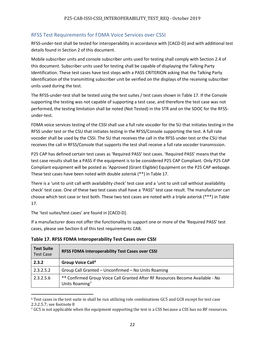## RFSS Test Requirements for FDMA Voice Services over CSSI

RFSS-under-test shall be tested for interoperability in accordance with [CACD-D] and with additional test details found in Section 2 of this document.

Mobile subscriber units and console subscriber units used for testing shall comply with Section 2.4 of this document. Subscriber units used for testing shall be capable of displaying the Talking Party Identification. These test cases have test steps with a PASS CRITERION asking that the Talking Party Identification of the transmitting subscriber unit be verified on the displays of the receiving subscriber units used during the test.

The RFSS-under-test shall be tested using the test suites / test cases shown in Table 17. If the Console supporting the testing was not capable of supporting a test case, and therefore the test case was not performed, the testing limitation shall be noted (Not Tested) in the STR and on the SDOC for the RFSSunder-test.

FDMA voice services testing of the CSSI shall use a full rate vocoder for the SU that initiates testing in the RFSS under test or the CSU that initiates testing in the RFSS/Console supporting the test. A full rate vocoder shall be used by the CSSI. The SU that receives the call in the RFSS under test or the CSU that receives the call in RFSS/Console that supports the test shall receive a full rate vocoder transmission.

P25 CAP has defined certain test cases as 'Required PASS' test cases. 'Required PASS' means that the test case results shall be a PASS if the equipment is to be considered P25 CAP Compliant. Only P25 CAP Compliant equipment will be posted as 'Approved (Grant Eligible) Equipment on the P25 CAP webpage. These test cases have been noted with double asterisk (\*\*) in Table 17.

There is a 'unit to unit call with availability check' test case and a 'unit to unit call without availability check' test case. One of these two test cases shall have a 'PASS" test case result. The manufacturer can choose which test case or test both. These two test cases are noted with a triple asterisk (\*\*\*) in Table 17.

The 'test suites/test cases' are found in [CACD-D].

l

If a manufacturer does not offer the functionality to support one or more of the 'Required PASS' test cases, please see Section 6 of this test requirements CAB.

| <b>Test Suite</b><br><b>Test Case</b> | <b>RFSS FDMA Interoperability Test Cases over CSSI</b>                                                       |
|---------------------------------------|--------------------------------------------------------------------------------------------------------------|
| 2.3.2                                 | Group Voice Call <sup>6</sup>                                                                                |
| 2.3.2.5.2                             | Group Call Granted - Unconfirmed - No Units Roaming                                                          |
| 2.3.2.5.6                             | ** Confirmed Group Voice Call Granted After RF Resources Become Available - No<br>Units Roaming <sup>7</sup> |

**Table 17. RFSS FDMA Interoperability Test Cases over CSSI**

<span id="page-25-0"></span><sup>6</sup> Test cases in the test suite in shall be run utilizing role combinations GC5 and GC8 except for test case 2.3.2.5.7; see footnote 8

<span id="page-25-1"></span><sup>&</sup>lt;sup>7</sup> GC5 is not applicable when the equipment supporting the test is a CSS because a CSS has no RF resources.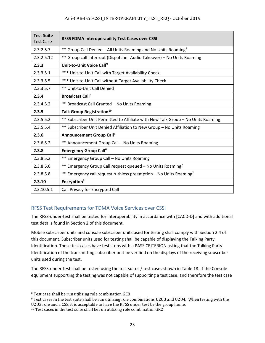| <b>Test Suite</b><br><b>Test Case</b> | <b>RFSS FDMA Interoperability Test Cases over CSSI</b>                           |
|---------------------------------------|----------------------------------------------------------------------------------|
| 2.3.2.5.7                             | ** Group Call Denied – All Units Roaming and No Units Roaming <sup>8</sup>       |
| 2.3.2.5.12                            | ** Group call interrupt (Dispatcher Audio Takeover) - No Units Roaming           |
| 2.3.3                                 | Unit-to-Unit Voice Call <sup>9</sup>                                             |
| 2.3.3.5.1                             | *** Unit-to-Unit Call with Target Availability Check                             |
| 2.3.3.5.5                             | *** Unit-to-Unit Call without Target Availability Check                          |
| 2.3.3.5.7                             | ** Unit-to-Unit Call Denied                                                      |
| 2.3.4                                 | <b>Broadcast Call<sup>6</sup></b>                                                |
| 2.3.4.5.2                             | ** Broadcast Call Granted - No Units Roaming                                     |
| 2.3.5                                 | Talk Group Registration <sup>10</sup>                                            |
| 2.3.5.5.2                             | ** Subscriber Unit Permitted to Affiliate with New Talk Group - No Units Roaming |
| 2.3.5.5.4                             | ** Subscriber Unit Denied Affiliation to New Group - No Units Roaming            |
| 2.3.6                                 | <b>Announcement Group Call<sup>6</sup></b>                                       |
| 2.3.6.5.2                             | ** Announcement Group Call - No Units Roaming                                    |
| 2.3.8                                 | <b>Emergency Group Call<sup>6</sup></b>                                          |
| 2.3.8.5.2                             | ** Emergency Group Call - No Units Roaming                                       |
| 2.3.8.5.6                             | ** Emergency Group Call request queued - No Units Roaming <sup>7</sup>           |
| 2.3.8.5.8                             | ** Emergency call request ruthless preemption - No Units Roaming <sup>7</sup>    |
| 2.3.10                                | Encryption <sup>6</sup>                                                          |
| 2.3.10.5.1                            | Call Privacy for Encrypted Call                                                  |

## RFSS Test Requirements for TDMA Voice Services over CSSI

The RFSS-under-test shall be tested for interoperability in accordance with [CACD-D] and with additional test details found in Section 2 of this document.

Mobile subscriber units and console subscriber units used for testing shall comply with Section 2.4 of this document. Subscriber units used for testing shall be capable of displaying the Talking Party Identification. These test cases have test steps with a PASS CRITERION asking that the Talking Party Identification of the transmitting subscriber unit be verified on the displays of the receiving subscriber units used during the test.

The RFSS-under-test shall be tested using the test suites / test cases shown in Table 18. If the Console equipment supporting the testing was not capable of supporting a test case, and therefore the test case

 $\overline{\phantom{a}}$ 

<span id="page-26-0"></span><sup>8</sup> Test case shall be run utilizing role combination GC8

<span id="page-26-1"></span><sup>9</sup> Test cases in the test suite shall be run utilizing role combinations U2U3 and U2U4. When testing with the U2U3 role and a CSS, it is acceptable to have the RFSS under test be the group home.

<span id="page-26-2"></span><sup>&</sup>lt;sup>10</sup> Test cases in the test suite shall be run utilizing role combination GR2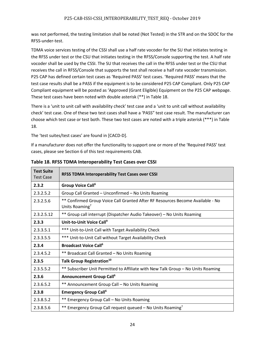was not performed, the testing limitation shall be noted (Not Tested) in the STR and on the SDOC for the RFSS-under-test.

TDMA voice services testing of the CSSI shall use a half rate vocoder for the SU that initiates testing in the RFSS under test or the CSU that initiates testing in the RFSS/Console supporting the test. A half rate vocoder shall be used by the CSSI. The SU that receives the call in the RFSS under test or the CSU that receives the call in RFSS/Console that supports the test shall receive a half rate vocoder transmission. P25 CAP has defined certain test cases as 'Required PASS' test cases. 'Required PASS' means that the test case results shall be a PASS if the equipment is to be considered P25 CAP Compliant. Only P25 CAP Compliant equipment will be posted as 'Approved (Grant Eligible) Equipment on the P25 CAP webpage. These test cases have been noted with double asterisk (\*\*) in Table 18.

There is a 'unit to unit call with availability check' test case and a 'unit to unit call without availability check' test case. One of these two test cases shall have a 'PASS" test case result. The manufacturer can choose which test case or test both. These two test cases are noted with a triple asterisk (\*\*\*) in Table 18.

The 'test suites/test cases' are found in [CACD-D].

If a manufacturer does not offer the functionality to support one or more of the 'Required PASS' test cases, please see Section 6 of this test requirements CAB.

| <b>Test Suite</b><br><b>Test Case</b> | <b>RFSS TDMA Interoperability Test Cases over CSSI</b>                                                       |
|---------------------------------------|--------------------------------------------------------------------------------------------------------------|
| 2.3.2                                 | Group Voice Call <sup>6</sup>                                                                                |
| 2.3.2.5.2                             | Group Call Granted - Unconfirmed - No Units Roaming                                                          |
| 2.3.2.5.6                             | ** Confirmed Group Voice Call Granted After RF Resources Become Available - No<br>Units Roaming <sup>7</sup> |
| 2.3.2.5.12                            | ** Group call interrupt (Dispatcher Audio Takeover) - No Units Roaming                                       |
| 2.3.3                                 | Unit-to-Unit Voice Call <sup>9</sup>                                                                         |
| 2.3.3.5.1                             | *** Unit-to-Unit Call with Target Availability Check                                                         |
| 2.3.3.5.5                             | *** Unit-to-Unit Call without Target Availability Check                                                      |
| 2.3.4                                 | <b>Broadcast Voice Call<sup>6</sup></b>                                                                      |
| 2.3.4.5.2                             | ** Broadcast Call Granted - No Units Roaming                                                                 |
| 2.3.5                                 | Talk Group Registration <sup>10</sup>                                                                        |
| 2.3.5.5.2                             | ** Subscriber Unit Permitted to Affiliate with New Talk Group - No Units Roaming                             |
| 2.3.6                                 | <b>Announcement Group Call<sup>6</sup></b>                                                                   |
| 2.3.6.5.2                             | ** Announcement Group Call - No Units Roaming                                                                |
| 2.3.8                                 | <b>Emergency Group Call</b> <sup>6</sup>                                                                     |
| 2.3.8.5.2                             | ** Emergency Group Call - No Units Roaming                                                                   |
| 2.3.8.5.6                             | ** Emergency Group Call request queued – No Units Roaming <sup>7</sup>                                       |

**Table 18. RFSS TDMA Interoperability Test Cases over CSSI**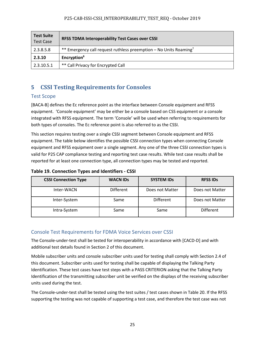| <b>Test Suite</b><br><b>Test Case</b> | <b>RFSS TDMA Interoperability Test Cases over CSSI</b>                        |
|---------------------------------------|-------------------------------------------------------------------------------|
| 2.3.8.5.8                             | ** Emergency call request ruthless preemption – No Units Roaming <sup>7</sup> |
| 2.3.10                                | Encryption <sup>6</sup>                                                       |
| 2.3.10.5.1                            | ** Call Privacy for Encrypted Call                                            |

## **5 CSSI Testing Requirements for Consoles**

## Test Scope

[BACA-B] defines the Ec reference point as the interface between Console equipment and RFSS equipment. 'Console equipment' may be either be a console based on CSS equipment or a console integrated with RFSS equipment. The term 'Console' will be used when referring to requirements for both types of consoles. The Ec reference point is also referred to as the CSSI.

This section requires testing over a single CSSI segment between Console equipment and RFSS equipment. The table below identifies the possible CSSI connection types when connecting Console equipment and RFSS equipment over a single segment. Any one of the three CSSI connection types is valid for P25 CAP compliance testing and reporting test case results. While test case results shall be reported for at least one connection type, all connection types may be tested and reported.

| <b>CSSI Connection Type</b> | <b>WACN IDs</b>  | <b>SYSTEM IDS</b> | <b>RFSS IDS</b>  |
|-----------------------------|------------------|-------------------|------------------|
| Inter-WACN                  | <b>Different</b> | Does not Matter   | Does not Matter  |
| Inter-System                | Same             | <b>Different</b>  | Does not Matter  |
| Intra-System                | Same             | Same              | <b>Different</b> |

**Table 19. Connection Types and Identifiers - CSSI**

## Console Test Requirements for FDMA Voice Services over CSSI

The Console-under-test shall be tested for interoperability in accordance with [CACD-D] and with additional test details found in Section 2 of this document.

Mobile subscriber units and console subscriber units used for testing shall comply with Section 2.4 of this document. Subscriber units used for testing shall be capable of displaying the Talking Party Identification. These test cases have test steps with a PASS CRITERION asking that the Talking Party Identification of the transmitting subscriber unit be verified on the displays of the receiving subscriber units used during the test.

The Console-under-test shall be tested using the test suites / test cases shown in Table 20. If the RFSS supporting the testing was not capable of supporting a test case, and therefore the test case was not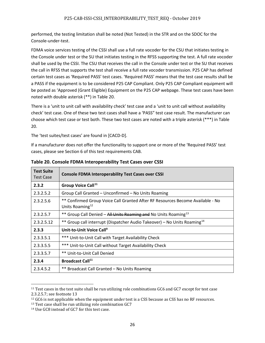performed, the testing limitation shall be noted (Not Tested) in the STR and on the SDOC for the Console-under-test.

FDMA voice services testing of the CSSI shall use a full rate vocoder for the CSU that initiates testing in the Console under test or the SU that initiates testing in the RFSS supporting the test. A full rate vocoder shall be used by the CSSI. The CSU that receives the call in the Console under test or the SU that receives the call in RFSS that supports the test shall receive a full rate vocoder transmission. P25 CAP has defined certain test cases as 'Required PASS' test cases. 'Required PASS' means that the test case results shall be a PASS if the equipment is to be considered P25 CAP Compliant. Only P25 CAP Compliant equipment will be posted as 'Approved (Grant Eligible) Equipment on the P25 CAP webpage. These test cases have been noted with double asterisk (\*\*) in Table 20.

There is a 'unit to unit call with availability check' test case and a 'unit to unit call without availability check' test case. One of these two test cases shall have a 'PASS" test case result. The manufacturer can choose which test case or test both. These two test cases are noted with a triple asterisk (\*\*\*) in Table 20.

The 'test suites/test cases' are found in [CACD-D].

If a manufacturer does not offer the functionality to support one or more of the 'Required PASS' test cases, please see Section 6 of this test requirements CAB.

| <b>Test Suite</b><br><b>Test Case</b> | <b>Console FDMA Interoperability Test Cases over CSSI</b>                                                     |
|---------------------------------------|---------------------------------------------------------------------------------------------------------------|
| 2.3.2                                 | Group Voice Call <sup>11</sup>                                                                                |
| 2.3.2.5.2                             | Group Call Granted - Unconfirmed - No Units Roaming                                                           |
| 2.3.2.5.6                             | ** Confirmed Group Voice Call Granted After RF Resources Become Available - No<br>Units Roaming <sup>12</sup> |
| 2.3.2.5.7                             | ** Group Call Denied - All Units Roaming and No Units Roaming <sup>13</sup>                                   |
| 2.3.2.5.12                            | ** Group call interrupt (Dispatcher Audio Takeover) – No Units Roaming <sup>14</sup>                          |
| 2.3.3                                 | Unit-to-Unit Voice Call <sup>9</sup>                                                                          |
| 2.3.3.5.1                             | *** Unit-to-Unit Call with Target Availability Check                                                          |
| 2.3.3.5.5                             | *** Unit-to-Unit Call without Target Availability Check                                                       |
| 2.3.3.5.7                             | ** Unit-to-Unit Call Denied                                                                                   |
| 2.3.4                                 | <b>Broadcast Call</b> <sup>11</sup>                                                                           |
| 2.3.4.5.2                             | ** Broadcast Call Granted - No Units Roaming                                                                  |

**Table 20. Console FDMA Interoperability Test Cases over CSSI**

 $\overline{\phantom{a}}$ 

<span id="page-29-0"></span> $^{11}$  Test cases in the test suite shall be run utilizing role combinations GC6 and GC7 except for test case 2.3.2.5.7; see footnote 13

<span id="page-29-2"></span><span id="page-29-1"></span><sup>&</sup>lt;sup>12</sup> GC6 is not applicable when the equipment under test is a CSS because as CSS has no RF resources. <sup>13</sup> Test case shall be run utilizing role combination GC7

<span id="page-29-3"></span><sup>14</sup> Use GC8 instead of GC7 for this test case.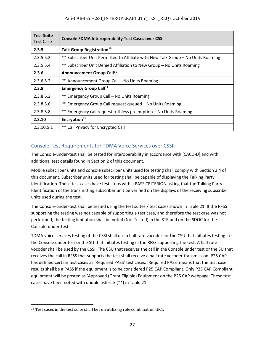| <b>Test Suite</b><br><b>Test Case</b> | <b>Console FDMA Interoperability Test Cases over CSSI</b>                        |
|---------------------------------------|----------------------------------------------------------------------------------|
| 2.3.5                                 | Talk Group Registration <sup>15</sup>                                            |
| 2.3.5.5.2                             | ** Subscriber Unit Permitted to Affiliate with New Talk Group - No Units Roaming |
| 2.3.5.5.4                             | ** Subscriber Unit Denied Affiliation to New Group - No Units Roaming            |
| 2.3.6                                 | Announcement Group Call <sup>11</sup>                                            |
| 2.3.6.5.2                             | ** Announcement Group Call - No Units Roaming                                    |
| 2.3.8                                 | <b>Emergency Group Call</b> <sup>11</sup>                                        |
| 2.3.8.5.2                             | ** Emergency Group Call - No Units Roaming                                       |
| 2.3.8.5.6                             | ** Emergency Group Call request queued - No Units Roaming                        |
| 2.3.8.5.8                             | ** Emergency call request ruthless preemption - No Units Roaming                 |
| 2.3.10                                | Encryption <sup>11</sup>                                                         |
| 2.3.10.5.1                            | ** Call Privacy for Encrypted Call                                               |

## Console Test Requirements for TDMA Voice Services over CSSI

The Console-under-test shall be tested for interoperability in accordance with [CACD-D] and with additional test details found in Section 2 of this document.

Mobile subscriber units and console subscriber units used for testing shall comply with Section 2.4 of this document. Subscriber units used for testing shall be capable of displaying the Talking Party Identification. These test cases have test steps with a PASS CRITERION asking that the Talking Party Identification of the transmitting subscriber unit be verified on the displays of the receiving subscriber units used during the test.

The Console-under-test shall be tested using the test suites / test cases shown in Table 21. If the RFSS supporting the testing was not capable of supporting a test case, and therefore the test case was not performed, the testing limitation shall be noted (Not Tested) in the STR and on the SDOC for the Console-under-test.

TDMA voice services testing of the CSSI shall use a half rate vocoder for the CSU that initiates testing in the Console under test or the SU that initiates testing in the RFSS supporting the test. A half rate vocoder shall be used by the CSSI. The CSU that receives the call in the Console under test or the SU that receives the call in RFSS that supports the test shall receive a half rate vocoder transmission. P25 CAP has defined certain test cases as 'Required PASS' test cases. 'Required PASS' means that the test case results shall be a PASS if the equipment is to be considered P25 CAP Compliant. Only P25 CAP Compliant equipment will be posted as 'Approved (Grant Eligible) Equipment on the P25 CAP webpage. These test cases have been noted with double asterisk (\*\*) in Table 21.

<span id="page-30-0"></span> $\overline{\phantom{a}}$ <sup>15</sup> Test cases in the test suite shall be run utilizing role combination GR1.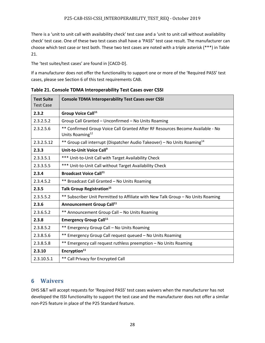There is a 'unit to unit call with availability check' test case and a 'unit to unit call without availability check' test case. One of these two test cases shall have a 'PASS" test case result. The manufacturer can choose which test case or test both. These two test cases are noted with a triple asterisk (\*\*\*) in Table 21.

The 'test suites/test cases' are found in [CACD-D].

If a manufacturer does not offer the functionality to support one or more of the 'Required PASS' test cases, please see Section 6 of this test requirements CAB.

| <b>Test Suite</b><br><b>Test Case</b> | <b>Console TDMA Interoperability Test Cases over CSSI</b>                                                     |
|---------------------------------------|---------------------------------------------------------------------------------------------------------------|
| 2.3.2                                 | Group Voice Call <sup>11</sup>                                                                                |
| 2.3.2.5.2                             | Group Call Granted - Unconfirmed - No Units Roaming                                                           |
| 2.3.2.5.6                             | ** Confirmed Group Voice Call Granted After RF Resources Become Available - No<br>Units Roaming <sup>12</sup> |
| 2.3.2.5.12                            | ** Group call interrupt (Dispatcher Audio Takeover) - No Units Roaming <sup>14</sup>                          |
| 2.3.3                                 | Unit-to-Unit Voice Call <sup>9</sup>                                                                          |
| 2.3.3.5.1                             | *** Unit-to-Unit Call with Target Availability Check                                                          |
| 2.3.3.5.5                             | *** Unit-to-Unit Call without Target Availability Check                                                       |
| 2.3.4                                 | <b>Broadcast Voice Call</b> <sup>11</sup>                                                                     |
| 2.3.4.5.2                             | ** Broadcast Call Granted - No Units Roaming                                                                  |
| 2.3.5                                 | Talk Group Registration <sup>15</sup>                                                                         |
| 2.3.5.5.2                             | ** Subscriber Unit Permitted to Affiliate with New Talk Group - No Units Roaming                              |
| 2.3.6                                 | Announcement Group Call <sup>11</sup>                                                                         |
| 2.3.6.5.2                             | ** Announcement Group Call - No Units Roaming                                                                 |
| 2.3.8                                 | <b>Emergency Group Call</b> <sup>11</sup>                                                                     |
| 2.3.8.5.2                             | ** Emergency Group Call - No Units Roaming                                                                    |
| 2.3.8.5.6                             | ** Emergency Group Call request queued - No Units Roaming                                                     |
| 2.3.8.5.8                             | ** Emergency call request ruthless preemption - No Units Roaming                                              |
| 2.3.10                                | Encryption <sup>11</sup>                                                                                      |
| 2.3.10.5.1                            | ** Call Privacy for Encrypted Call                                                                            |

**Table 21. Console TDMA Interoperability Test Cases over CSSI**

## **6 Waivers**

DHS S&T will accept requests for 'Required PASS' test cases waivers when the manufacturer has not developed the ISSI functionality to support the test case and the manufacturer does not offer a similar non-P25 feature in place of the P25 Standard feature.